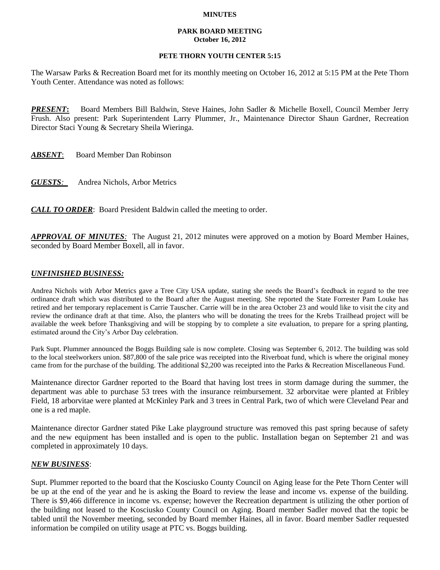### **MINUTES**

#### **PARK BOARD MEETING October 16, 2012**

## **PETE THORN YOUTH CENTER 5:15**

The Warsaw Parks & Recreation Board met for its monthly meeting on October 16, 2012 at 5:15 PM at the Pete Thorn Youth Center. Attendance was noted as follows:

**PRESENT:** Board Members Bill Baldwin, Steve Haines, John Sadler & Michelle Boxell, Council Member Jerry Frush. Also present: Park Superintendent Larry Plummer, Jr., Maintenance Director Shaun Gardner, Recreation Director Staci Young & Secretary Sheila Wieringa.

*ABSENT*: Board Member Dan Robinson

*GUESTS:*Andrea Nichols, Arbor Metrics

*CALL TO ORDER*: Board President Baldwin called the meeting to order.

*APPROVAL OF MINUTES:* The August 21, 2012 minutes were approved on a motion by Board Member Haines, seconded by Board Member Boxell, all in favor.

# *UNFINISHED BUSINESS:*

Andrea Nichols with Arbor Metrics gave a Tree City USA update, stating she needs the Board's feedback in regard to the tree ordinance draft which was distributed to the Board after the August meeting. She reported the State Forrester Pam Louke has retired and her temporary replacement is Carrie Tauscher. Carrie will be in the area October 23 and would like to visit the city and review the ordinance draft at that time. Also, the planters who will be donating the trees for the Krebs Trailhead project will be available the week before Thanksgiving and will be stopping by to complete a site evaluation, to prepare for a spring planting, estimated around the City's Arbor Day celebration.

Park Supt. Plummer announced the Boggs Building sale is now complete. Closing was September 6, 2012. The building was sold to the local steelworkers union. \$87,800 of the sale price was receipted into the Riverboat fund, which is where the original money came from for the purchase of the building. The additional \$2,200 was receipted into the Parks & Recreation Miscellaneous Fund.

Maintenance director Gardner reported to the Board that having lost trees in storm damage during the summer, the department was able to purchase 53 trees with the insurance reimbursement. 32 arborvitae were planted at Fribley Field, 18 arborvitae were planted at McKinley Park and 3 trees in Central Park, two of which were Cleveland Pear and one is a red maple.

Maintenance director Gardner stated Pike Lake playground structure was removed this past spring because of safety and the new equipment has been installed and is open to the public. Installation began on September 21 and was completed in approximately 10 days.

### *NEW BUSINESS*:

Supt. Plummer reported to the board that the Kosciusko County Council on Aging lease for the Pete Thorn Center will be up at the end of the year and he is asking the Board to review the lease and income vs. expense of the building. There is \$9,466 difference in income vs. expense; however the Recreation department is utilizing the other portion of the building not leased to the Kosciusko County Council on Aging. Board member Sadler moved that the topic be tabled until the November meeting, seconded by Board member Haines, all in favor. Board member Sadler requested information be compiled on utility usage at PTC vs. Boggs building.